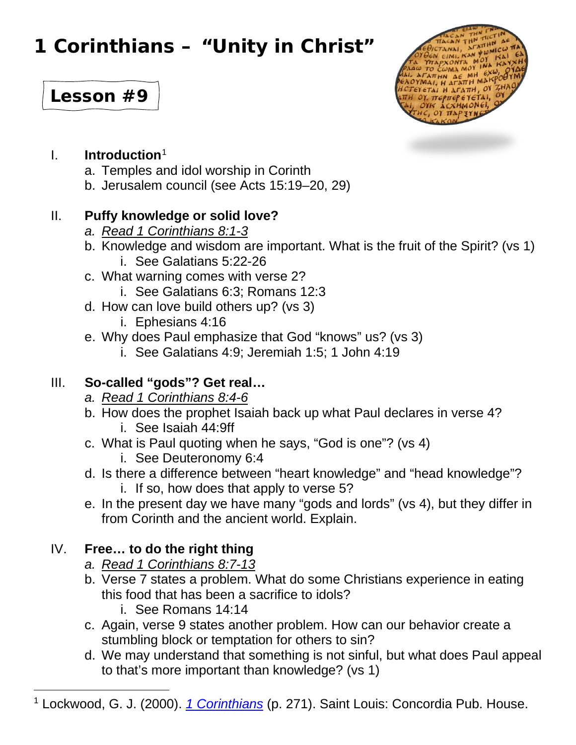# **1 Corinthians – "Unity in Christ"**





## I. **Introduction**[1](#page-0-0)

- a. Temples and idol worship in Corinth
- b. Jerusalem council (see Acts 15:19–20, 29)

## II. **Puffy knowledge or solid love?**

- *a. Read 1 Corinthians 8:1-3*
- b. Knowledge and wisdom are important. What is the fruit of the Spirit? (vs 1) i. See Galatians 5:22-26
- c. What warning comes with verse 2?
	- i. See Galatians 6:3; Romans 12:3
- d. How can love build others up? (vs 3)
	- i. Ephesians 4:16
- e. Why does Paul emphasize that God "knows" us? (vs 3)
	- i. See Galatians 4:9; Jeremiah 1:5; 1 John 4:19

## III. **So-called "gods"? Get real…**

- *a. Read 1 Corinthians 8:4-6*
- b. How does the prophet Isaiah back up what Paul declares in verse 4?
	- i. See Isaiah 44:9ff
- c. What is Paul quoting when he says, "God is one"? (vs 4)
	- i. See Deuteronomy 6:4
- d. Is there a difference between "heart knowledge" and "head knowledge"?
	- i. If so, how does that apply to verse 5?
- e. In the present day we have many "gods and lords" (vs 4), but they differ in from Corinth and the ancient world. Explain.

## IV. **Free… to do the right thing**

- *a. Read 1 Corinthians 8:7-13*
- b. Verse 7 states a problem. What do some Christians experience in eating this food that has been a sacrifice to idols?
	- i. See Romans 14:14
- c. Again, verse 9 states another problem. How can our behavior create a stumbling block or temptation for others to sin?
- d. We may understand that something is not sinful, but what does Paul appeal to that's more important than knowledge? (vs 1)
- <span id="page-0-0"></span><sup>1</sup> Lockwood, G. J. (2000). *[1 Corinthians](https://ref.ly/logosres/concom67co1?ref=Bible.1Co8&off=311&ctx=e+the+decree+of+the+%7EJerusalem+council+(A)* (p. 271). Saint Louis: Concordia Pub. House.